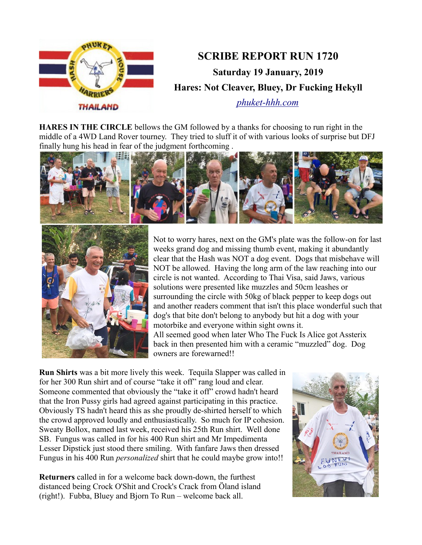

**HARES IN THE CIRCLE** bellows the GM followed by a thanks for choosing to run right in the middle of a 4WD Land Rover tourney. They tried to sluff it of with various looks of surprise but DFJ finally hung his head in fear of the judgment forthcoming .





Not to worry hares, next on the GM's plate was the follow-on for last weeks grand dog and missing thumb event, making it abundantly clear that the Hash was NOT a dog event. Dogs that misbehave will NOT be allowed. Having the long arm of the law reaching into our circle is not wanted. According to Thai Visa, said Jaws, various solutions were presented like muzzles and 50cm leashes or surrounding the circle with 50kg of black pepper to keep dogs out and another readers comment that isn't this place wonderful such that dog's that bite don't belong to anybody but hit a dog with your motorbike and everyone within sight owns it. All seemed good when later Who The Fuck Is Alice got Assterix back in then presented him with a ceramic "muzzled" dog. Dog owners are forewarned!!

**Run Shirts** was a bit more lively this week. Tequila Slapper was called in for her 300 Run shirt and of course "take it off" rang loud and clear. Someone commented that obviously the "take it off" crowd hadn't heard that the Iron Pussy girls had agreed against participating in this practice. Obviously TS hadn't heard this as she proudly de-shirted herself to which the crowd approved loudly and enthusiastically. So much for IP cohesion. Sweaty Bollox, named last week, received his 25th Run shirt. Well done SB. Fungus was called in for his 400 Run shirt and Mr Impedimenta Lesser Dipstick just stood there smiling. With fanfare Jaws then dressed Fungus in his 400 Run *personalized* shirt that he could maybe grow into!!

**Returners** called in for a welcome back down-down, the furthest distanced being Crock O'Shit and Crock's Crack from Öland island (right!). Fubba, Bluey and Bjorn To Run – welcome back all.

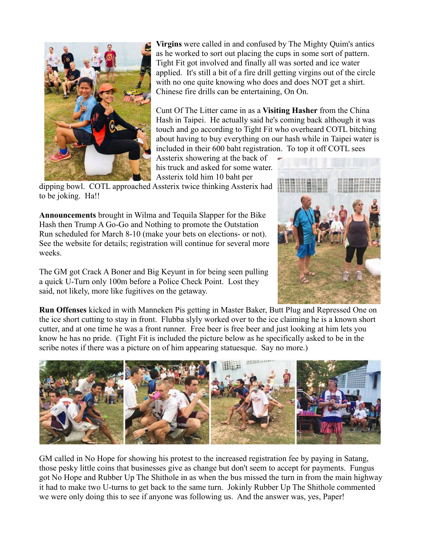

**Virgins** were called in and confused by The Mighty Quim's antics as he worked to sort out placing the cups in some sort of pattern. Tight Fit got involved and finally all was sorted and ice water applied. It's still a bit of a fire drill getting virgins out of the circle with no one quite knowing who does and does NOT get a shirt. Chinese fire drills can be entertaining, On On.

Cunt Of The Litter came in as a **Visiting Hasher** from the China Hash in Taipei. He actually said he's coming back although it was touch and go according to Tight Fit who overheard COTL bitching about having to buy everything on our hash while in Taipei water is included in their 600 baht registration. To top it off COTL sees

Assterix showering at the back of his truck and asked for some water. Assterix told him 10 baht per

dipping bowl. COTL approached Assterix twice thinking Assterix had to be joking. Ha!!

**Announcements** brought in Wilma and Tequila Slapper for the Bike Hash then Trump A Go-Go and Nothing to promote the Outstation Run scheduled for March 8-10 (make your bets on elections- or not). See the website for details; registration will continue for several more weeks.

The GM got Crack A Boner and Big Keyunt in for being seen pulling a quick U-Turn only 100m before a Police Check Point. Lost they said, not likely, more like fugitives on the getaway.



**Run Offenses** kicked in with Manneken Pis getting in Master Baker, Butt Plug and Repressed One on the ice short cutting to stay in front. Flubba slyly worked over to the ice claiming he is a known short cutter, and at one time he was a front runner. Free beer is free beer and just looking at him lets you know he has no pride. (Tight Fit is included the picture below as he specifically asked to be in the scribe notes if there was a picture on of him appearing statuesque. Say no more.)



GM called in No Hope for showing his protest to the increased registration fee by paying in Satang, those pesky little coins that businesses give as change but don't seem to accept for payments. Fungus got No Hope and Rubber Up The Shithole in as when the bus missed the turn in from the main highway it had to make two U-turns to get back to the same turn. Jokinly Rubber Up The Shithole commented we were only doing this to see if anyone was following us. And the answer was, yes, Paper!